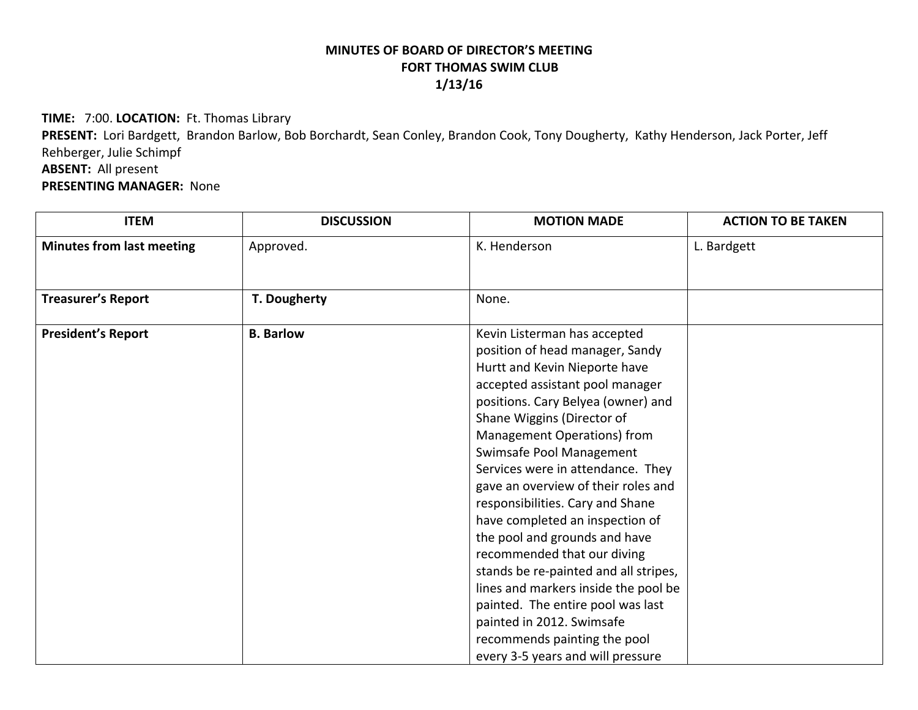## **MINUTES OF BOARD OF DIRECTOR'S MEETING FORT THOMAS SWIM CLUB 1/13/16**

**TIME:** 7:00. **LOCATION:** Ft. Thomas Library

**PRESENT:** Lori Bardgett, Brandon Barlow, Bob Borchardt, Sean Conley, Brandon Cook, Tony Dougherty, Kathy Henderson, Jack Porter, Jeff Rehberger, Julie Schimpf **ABSENT:** All present

**PRESENTING MANAGER:** None

| <b>ITEM</b>                      | <b>DISCUSSION</b> | <b>MOTION MADE</b>                                                                                                                                                                                                                                                                                                                                                                                                                                                                                                                                                                                                                                                                                            | <b>ACTION TO BE TAKEN</b> |
|----------------------------------|-------------------|---------------------------------------------------------------------------------------------------------------------------------------------------------------------------------------------------------------------------------------------------------------------------------------------------------------------------------------------------------------------------------------------------------------------------------------------------------------------------------------------------------------------------------------------------------------------------------------------------------------------------------------------------------------------------------------------------------------|---------------------------|
| <b>Minutes from last meeting</b> | Approved.         | K. Henderson                                                                                                                                                                                                                                                                                                                                                                                                                                                                                                                                                                                                                                                                                                  | L. Bardgett               |
|                                  |                   |                                                                                                                                                                                                                                                                                                                                                                                                                                                                                                                                                                                                                                                                                                               |                           |
| <b>Treasurer's Report</b>        | T. Dougherty      | None.                                                                                                                                                                                                                                                                                                                                                                                                                                                                                                                                                                                                                                                                                                         |                           |
| <b>President's Report</b>        | <b>B.</b> Barlow  | Kevin Listerman has accepted<br>position of head manager, Sandy<br>Hurtt and Kevin Nieporte have<br>accepted assistant pool manager<br>positions. Cary Belyea (owner) and<br>Shane Wiggins (Director of<br>Management Operations) from<br>Swimsafe Pool Management<br>Services were in attendance. They<br>gave an overview of their roles and<br>responsibilities. Cary and Shane<br>have completed an inspection of<br>the pool and grounds and have<br>recommended that our diving<br>stands be re-painted and all stripes,<br>lines and markers inside the pool be<br>painted. The entire pool was last<br>painted in 2012. Swimsafe<br>recommends painting the pool<br>every 3-5 years and will pressure |                           |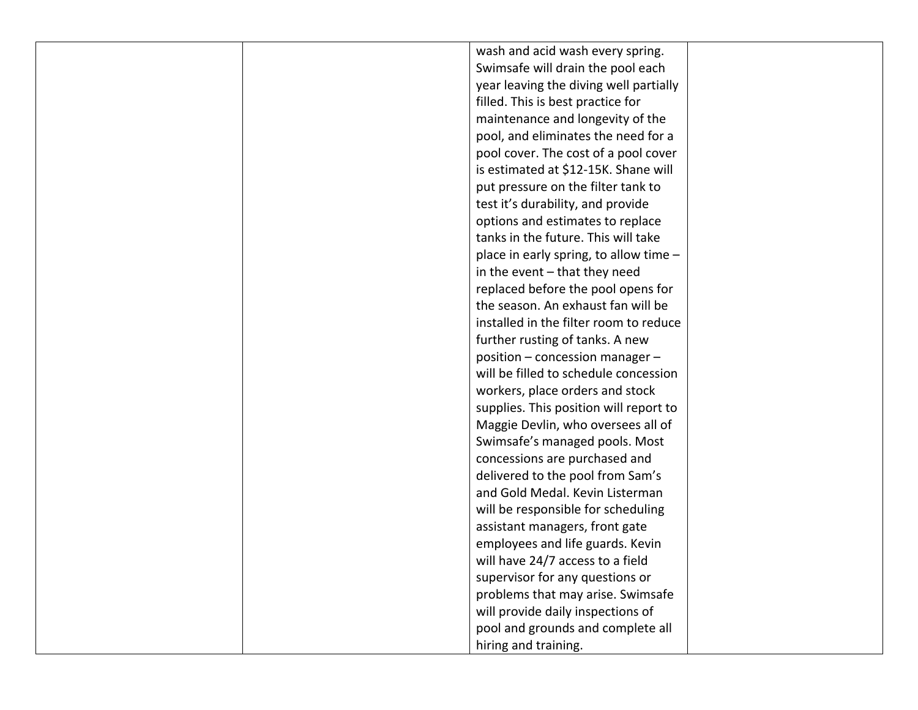|  | wash and acid wash every spring.       |  |
|--|----------------------------------------|--|
|  | Swimsafe will drain the pool each      |  |
|  | year leaving the diving well partially |  |
|  | filled. This is best practice for      |  |
|  | maintenance and longevity of the       |  |
|  | pool, and eliminates the need for a    |  |
|  | pool cover. The cost of a pool cover   |  |
|  | is estimated at \$12-15K. Shane will   |  |
|  | put pressure on the filter tank to     |  |
|  | test it's durability, and provide      |  |
|  | options and estimates to replace       |  |
|  | tanks in the future. This will take    |  |
|  | place in early spring, to allow time - |  |
|  | in the event $-$ that they need        |  |
|  | replaced before the pool opens for     |  |
|  | the season. An exhaust fan will be     |  |
|  | installed in the filter room to reduce |  |
|  | further rusting of tanks. A new        |  |
|  | position - concession manager -        |  |
|  | will be filled to schedule concession  |  |
|  | workers, place orders and stock        |  |
|  | supplies. This position will report to |  |
|  | Maggie Devlin, who oversees all of     |  |
|  | Swimsafe's managed pools. Most         |  |
|  | concessions are purchased and          |  |
|  | delivered to the pool from Sam's       |  |
|  | and Gold Medal. Kevin Listerman        |  |
|  | will be responsible for scheduling     |  |
|  | assistant managers, front gate         |  |
|  | employees and life guards. Kevin       |  |
|  | will have 24/7 access to a field       |  |
|  | supervisor for any questions or        |  |
|  | problems that may arise. Swimsafe      |  |
|  | will provide daily inspections of      |  |
|  | pool and grounds and complete all      |  |
|  | hiring and training.                   |  |
|  |                                        |  |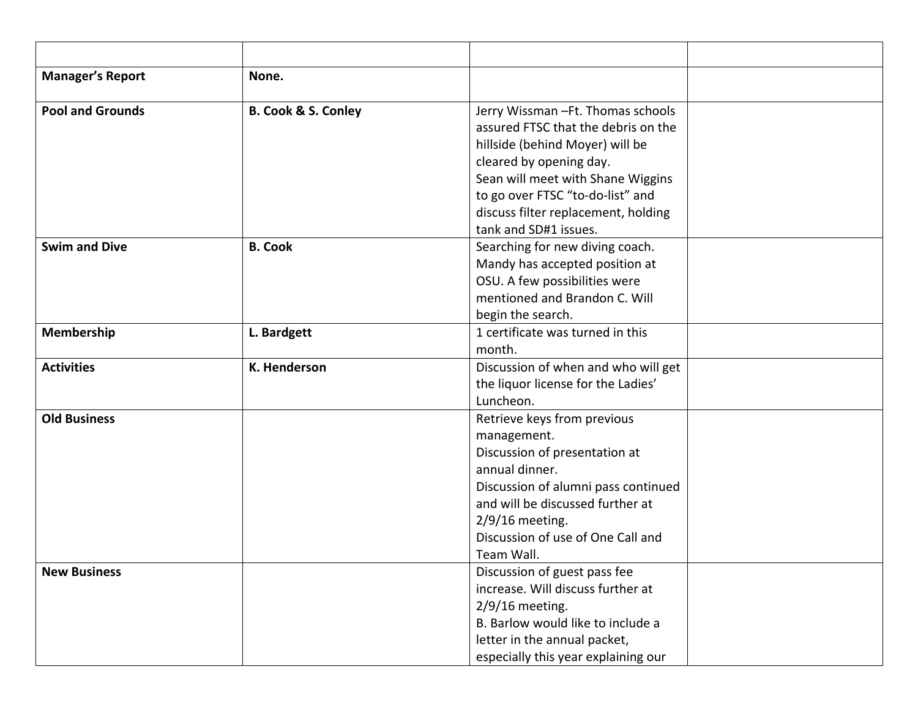| <b>Manager's Report</b> | None.                          |                                                                                                                                                                                                                                                                                  |  |
|-------------------------|--------------------------------|----------------------------------------------------------------------------------------------------------------------------------------------------------------------------------------------------------------------------------------------------------------------------------|--|
| <b>Pool and Grounds</b> | <b>B. Cook &amp; S. Conley</b> | Jerry Wissman - Ft. Thomas schools<br>assured FTSC that the debris on the<br>hillside (behind Moyer) will be<br>cleared by opening day.<br>Sean will meet with Shane Wiggins<br>to go over FTSC "to-do-list" and<br>discuss filter replacement, holding<br>tank and SD#1 issues. |  |
| <b>Swim and Dive</b>    | <b>B. Cook</b>                 | Searching for new diving coach.<br>Mandy has accepted position at<br>OSU. A few possibilities were<br>mentioned and Brandon C. Will<br>begin the search.                                                                                                                         |  |
| Membership              | L. Bardgett                    | 1 certificate was turned in this<br>month.                                                                                                                                                                                                                                       |  |
| <b>Activities</b>       | K. Henderson                   | Discussion of when and who will get<br>the liquor license for the Ladies'<br>Luncheon.                                                                                                                                                                                           |  |
| <b>Old Business</b>     |                                | Retrieve keys from previous<br>management.<br>Discussion of presentation at<br>annual dinner.<br>Discussion of alumni pass continued<br>and will be discussed further at<br>$2/9/16$ meeting.<br>Discussion of use of One Call and<br>Team Wall.                                 |  |
| <b>New Business</b>     |                                | Discussion of guest pass fee<br>increase. Will discuss further at<br>$2/9/16$ meeting.<br>B. Barlow would like to include a<br>letter in the annual packet,<br>especially this year explaining our                                                                               |  |